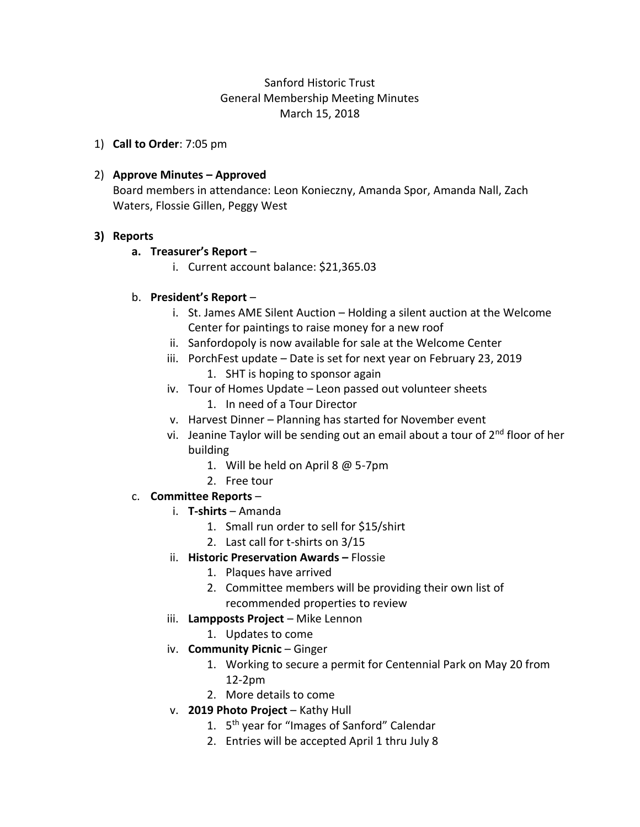# Sanford Historic Trust General Membership Meeting Minutes March 15, 2018

1) **Call to Order**: 7:05 pm

### 2) **Approve Minutes – Approved**

Board members in attendance: Leon Konieczny, Amanda Spor, Amanda Nall, Zach Waters, Flossie Gillen, Peggy West

### **3) Reports**

### **a. Treasurer's Report** –

i. Current account balance: \$21,365.03

## b. **President's Report** –

- i. St. James AME Silent Auction Holding a silent auction at the Welcome Center for paintings to raise money for a new roof
- ii. Sanfordopoly is now available for sale at the Welcome Center
- iii. PorchFest update Date is set for next year on February 23, 2019 1. SHT is hoping to sponsor again
- iv. Tour of Homes Update Leon passed out volunteer sheets
	- 1. In need of a Tour Director
- v. Harvest Dinner Planning has started for November event
- vi. Jeanine Taylor will be sending out an email about a tour of 2<sup>nd</sup> floor of her building
	- 1. Will be held on April 8 @ 5-7pm
	- 2. Free tour

## c. **Committee Reports** –

- i. **T-shirts** Amanda
	- 1. Small run order to sell for \$15/shirt
	- 2. Last call for t-shirts on 3/15
- ii. **Historic Preservation Awards –** Flossie
	- 1. Plaques have arrived
	- 2. Committee members will be providing their own list of recommended properties to review
- iii. **Lampposts Project** Mike Lennon
	- 1. Updates to come
- iv. **Community Picnic** Ginger
	- 1. Working to secure a permit for Centennial Park on May 20 from 12-2pm
	- 2. More details to come
- v. **2019 Photo Project** Kathy Hull
	- 1. 5<sup>th</sup> year for "Images of Sanford" Calendar
	- 2. Entries will be accepted April 1 thru July 8